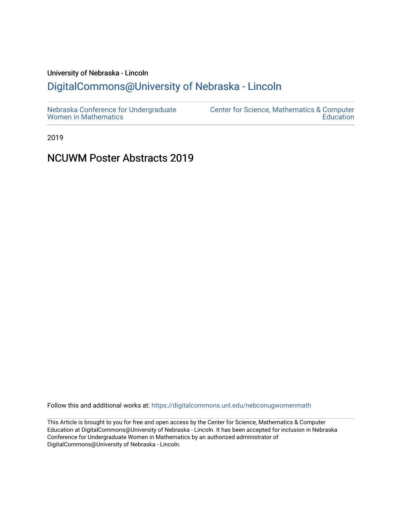## University of Nebraska - Lincoln

# [DigitalCommons@University of Nebraska - Lincoln](https://digitalcommons.unl.edu/)

2019

# NCUWM Poster Abstracts 2019

Follow this and additional works at: [https://digitalcommons.unl.edu/nebconugwomenmath](https://digitalcommons.unl.edu/nebconugwomenmath?utm_source=digitalcommons.unl.edu%2Fnebconugwomenmath%2F5&utm_medium=PDF&utm_campaign=PDFCoverPages)

This Article is brought to you for free and open access by the Center for Science, Mathematics & Computer Education at DigitalCommons@University of Nebraska - Lincoln. It has been accepted for inclusion in Nebraska Conference for Undergraduate Women in Mathematics by an authorized administrator of DigitalCommons@University of Nebraska - Lincoln.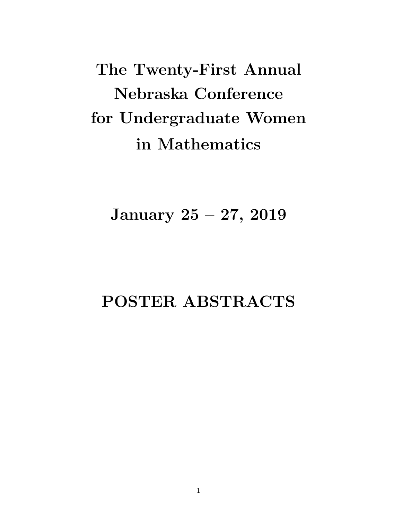The Twenty-First Annual Nebraska Conference for Undergraduate Women in Mathematics

January 25 – 27, 2019

# POSTER ABSTRACTS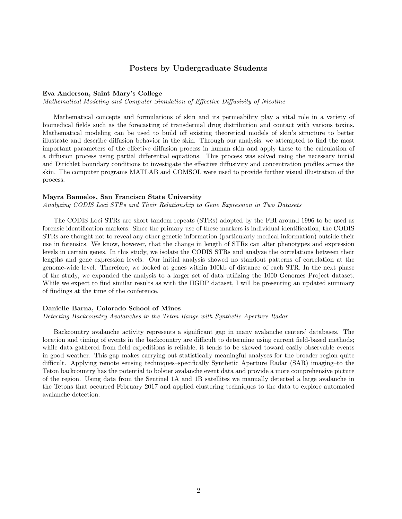## Posters by Undergraduate Students

## Eva Anderson, Saint Mary's College

Mathematical Modeling and Computer Simulation of Effective Diffusivity of Nicotine

Mathematical concepts and formulations of skin and its permeability play a vital role in a variety of biomedical fields such as the forecasting of transdermal drug distribution and contact with various toxins. Mathematical modeling can be used to build off existing theoretical models of skin's structure to better illustrate and describe diffusion behavior in the skin. Through our analysis, we attempted to find the most important parameters of the effective diffusion process in human skin and apply these to the calculation of a diffusion process using partial differential equations. This process was solved using the necessary initial and Dirichlet boundary conditions to investigate the effective diffusivity and concentration profiles across the skin. The computer programs MATLAB and COMSOL were used to provide further visual illustration of the process.

#### Mayra Banuelos, San Francisco State University

Analyzing CODIS Loci STRs and Their Relationship to Gene Expression in Two Datasets

The CODIS Loci STRs are short tandem repeats (STRs) adopted by the FBI around 1996 to be used as forensic identification markers. Since the primary use of these markers is individual identification, the CODIS STRs are thought not to reveal any other genetic information (particularly medical information) outside their use in forensics. We know, however, that the change in length of STRs can alter phenotypes and expression levels in certain genes. In this study, we isolate the CODIS STRs and analyze the correlations between their lengths and gene expression levels. Our initial analysis showed no standout patterns of correlation at the genome-wide level. Therefore, we looked at genes within 100kb of distance of each STR. In the next phase of the study, we expanded the analysis to a larger set of data utilizing the 1000 Genomes Project dataset. While we expect to find similar results as with the HGDP dataset, I will be presenting an updated summary of findings at the time of the conference.

## Danielle Barna, Colorado School of Mines

Detecting Backcountry Avalanches in the Teton Range with Synthetic Aperture Radar

Backcountry avalanche activity represents a significant gap in many avalanche centers' databases. The location and timing of events in the backcountry are difficult to determine using current field-based methods; while data gathered from field expeditions is reliable, it tends to be skewed toward easily observable events in good weather. This gap makes carrying out statistically meaningful analyses for the broader region quite difficult. Applying remote sensing techniques–specifically Synthetic Aperture Radar (SAR) imaging–to the Teton backcountry has the potential to bolster avalanche event data and provide a more comprehensive picture of the region. Using data from the Sentinel 1A and 1B satellites we manually detected a large avalanche in the Tetons that occurred February 2017 and applied clustering techniques to the data to explore automated avalanche detection.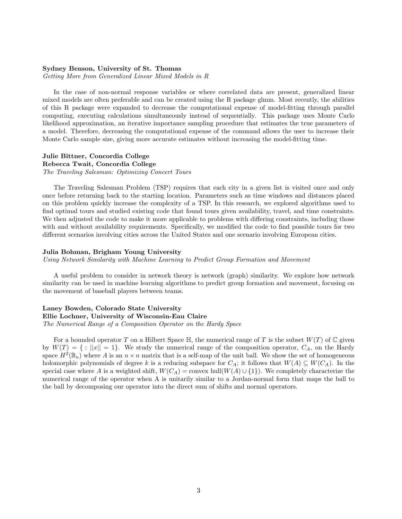## Sydney Benson, University of St. Thomas

Getting More from Generalized Linear Mixed Models in R

In the case of non-normal response variables or where correlated data are present, generalized linear mixed models are often preferable and can be created using the R package glmm. Most recently, the abilities of this R package were expanded to decrease the computational expense of model-fitting through parallel computing, executing calculations simultaneously instead of sequentially. This package uses Monte Carlo likelihood approximation, an iterative importance sampling procedure that estimates the true parameters of a model. Therefore, decreasing the computational expense of the command allows the user to increase their Monte Carlo sample size, giving more accurate estimates without increasing the model-fitting time.

## Julie Bittner, Concordia College Rebecca Twait, Concordia College The Traveling Salesman: Optimizing Concert Tours

The Traveling Salesman Problem (TSP) requires that each city in a given list is visited once and only once before returning back to the starting location. Parameters such as time windows and distances placed on this problem quickly increase the complexity of a TSP. In this research, we explored algorithms used to find optimal tours and studied existing code that found tours given availability, travel, and time constraints. We then adjusted the code to make it more applicable to problems with differing constraints, including those with and without availability requirements. Specifically, we modified the code to find possible tours for two different scenarios involving cities across the United States and one scenario involving European cities.

## Julia Bohman, Brigham Young University

Using Network Similarity with Machine Learning to Predict Group Formation and Movement

A useful problem to consider in network theory is network (graph) similarity. We explore how network similarity can be used in machine learning algorithms to predict group formation and movement, focusing on the movement of baseball players between teams.

## Laney Bowden, Colorado State University Ellie Lochner, University of Wisconsin-Eau Claire The Numerical Range of a Composition Operator on the Hardy Space

For a bounded operator T on a Hilbert Space  $\mathbb H$ , the numerical range of T is the subset  $W(T)$  of  $\mathbb C$  given by  $W(T) = \{ : ||x|| = 1 \}$ . We study the numerical range of the composition operator,  $C_A$ , on the Hardy space  $H^2(\mathbb{B}_n)$  where A is an  $n \times n$  matrix that is a self-map of the unit ball. We show the set of homogeneous holomorphic polynomials of degree k is a reducing subspace for  $C_A$ ; it follows that  $W(A) \subseteq W(C_A)$ . In the special case where A is a weighted shift,  $W(C_A) = \text{convex hull}(W(A) \cup \{1\})$ . We completely characterize the numerical range of the operator when A is unitarily similar to a Jordan-normal form that maps the ball to the ball by decomposing our operator into the direct sum of shifts and normal operators.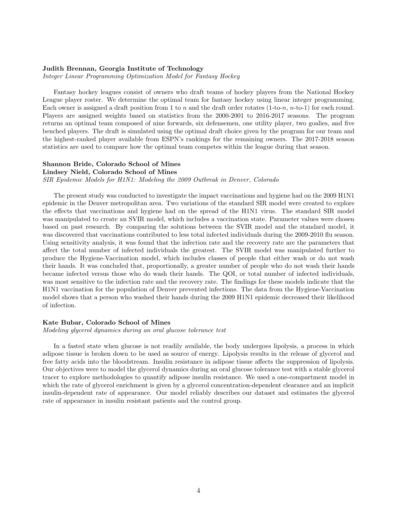## Judith Brennan, Georgia Institute of Technology

Integer Linear Programming Optimization Model for Fantasy Hockey

Fantasy hockey leagues consist of owners who draft teams of hockey players from the National Hockey League player roster. We determine the optimal team for fantasy hockey using linear integer programming. Each owner is assigned a draft position from 1 to n and the draft order rotates  $(1-to-n, n-to-1)$  for each round. Players are assigned weights based on statistics from the 2000-2001 to 2016-2017 seasons. The program returns an optimal team composed of nine forwards, six defensemen, one utility player, two goalies, and five benched players. The draft is simulated using the optimal draft choice given by the program for our team and the highest-ranked player available from ESPN's rankings for the remaining owners. The 2017-2018 season statistics are used to compare how the optimal team competes within the league during that season.

## Shannon Bride, Colorado School of Mines

## Lindsey Nield, Colorado School of Mines

SIR Epidemic Models for H1N1: Modeling the 2009 Outbreak in Denver, Colorado

The present study was conducted to investigate the impact vaccinations and hygiene had on the 2009 H1N1 epidemic in the Denver metropolitan area. Two variations of the standard SIR model were created to explore the effects that vaccinations and hygiene had on the spread of the H1N1 virus. The standard SIR model was manipulated to create an SVIR model, which includes a vaccination state. Parameter values were chosen based on past research. By comparing the solutions between the SVIR model and the standard model, it was discovered that vaccinations contributed to less total infected individuals during the 2009-2010 flu season. Using sensitivity analysis, it was found that the infection rate and the recovery rate are the parameters that affect the total number of infected individuals the greatest. The SVIR model was manipulated further to produce the Hygiene-Vaccination model, which includes classes of people that either wash or do not wash their hands. It was concluded that, proportionally, a greater number of people who do not wash their hands became infected versus those who do wash their hands. The QOI, or total number of infected individuals, was most sensitive to the infection rate and the recovery rate. The findings for these models indicate that the H1N1 vaccination for the population of Denver prevented infections. The data from the Hygiene-Vaccination model shows that a person who washed their hands during the 2009 H1N1 epidemic decreased their likelihood of infection.

### Kate Bubar, Colorado School of Mines

Modeling glycerol dynamics during an oral glucose tolerance test

In a fasted state when glucose is not readily available, the body undergoes lipolysis, a process in which adipose tissue is broken down to be used as source of energy. Lipolysis results in the release of glycerol and free fatty acids into the bloodstream. Insulin resistance in adipose tissue affects the suppression of lipolysis. Our objectives were to model the glycerol dynamics during an oral glucose tolerance test with a stable glycerol tracer to explore methodologies to quantify adipose insulin resistance. We used a one-compartment model in which the rate of glycerol enrichment is given by a glycerol concentration-dependent clearance and an implicit insulin-dependent rate of appearance. Our model reliably describes our dataset and estimates the glycerol rate of appearance in insulin resistant patients and the control group.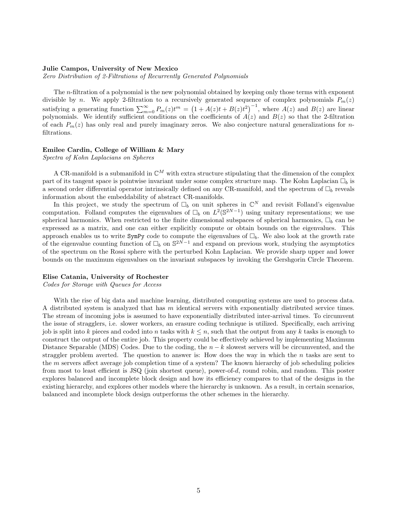## Julie Campos, University of New Mexico

Zero Distribution of 2-Filtrations of Recurrently Generated Polynomials

The n-filtration of a polynomial is the new polynomial obtained by keeping only those terms with exponent divisible by n. We apply 2-filtration to a recursively generated sequence of complex polynomials  $P_m(z)$ satisfying a generating function  $\sum_{m=0}^{\infty} P_m(z)t^m = (1 + A(z)t + B(z)t^2)^{-1}$ , where  $A(z)$  and  $B(z)$  are linear polynomials. We identify sufficient conditions on the coefficients of  $A(z)$  and  $B(z)$  so that the 2-filtration of each  $P_m(z)$  has only real and purely imaginary zeros. We also conjecture natural generalizations for nfiltrations.

#### Emilee Cardin, College of William & Mary

Spectra of Kohn Laplacians on Spheres

A CR-manifold is a submanifold in  $\mathbb{C}^M$  with extra structure stipulating that the dimension of the complex part of its tangent space is pointwise invariant under some complex structure map. The Kohn Laplacian  $\Box_b$  is a second order differential operator intrinsically defined on any CR-manifold, and the spectrum of  $\Box_b$  reveals information about the embeddability of abstract CR-manifolds.

In this project, we study the spectrum of  $\Box_b$  on unit spheres in  $\mathbb{C}^N$  and revisit Folland's eigenvalue computation. Folland computes the eigenvalues of  $\Box_b$  on  $L^2(\mathbb{S}^{2N-1})$  using unitary representations; we use spherical harmonics. When restricted to the finite dimensional subspaces of spherical harmonics,  $\Box_b$  can be expressed as a matrix, and one can either explicitly compute or obtain bounds on the eigenvalues. This approach enables us to write  $SymPy$  code to compute the eigenvalues of  $\Box_b$ . We also look at the growth rate of the eigenvalue counting function of  $\Box_b$  on  $\mathbb{S}^{2N-1}$  and expand on previous work, studying the asymptotics of the spectrum on the Rossi sphere with the perturbed Kohn Laplacian. We provide sharp upper and lower bounds on the maximum eigenvalues on the invariant subspaces by invoking the Gershgorin Circle Theorem.

## Elise Catania, University of Rochester

Codes for Storage with Queues for Access

With the rise of big data and machine learning, distributed computing systems are used to process data. A distributed system is analyzed that has m identical servers with exponentially distributed service times. The stream of incoming jobs is assumed to have exponentially distributed inter-arrival times. To circumvent the issue of stragglers, i.e. slower workers, an erasure coding technique is utilized. Specifically, each arriving job is split into k pieces and coded into n tasks with  $k \leq n$ , such that the output from any k tasks is enough to construct the output of the entire job. This property could be effectively achieved by implementing Maximum Distance Separable (MDS) Codes. Due to the coding, the  $n - k$  slowest servers will be circumvented, and the straggler problem averted. The question to answer is: How does the way in which the  $n$  tasks are sent to the m servers affect average job completion time of a system? The known hierarchy of job scheduling policies from most to least efficient is JSQ (join shortest queue), power-of-d, round robin, and random. This poster explores balanced and incomplete block design and how its efficiency compares to that of the designs in the existing hierarchy, and explores other models where the hierarchy is unknown. As a result, in certain scenarios, balanced and incomplete block design outperforms the other schemes in the hierarchy.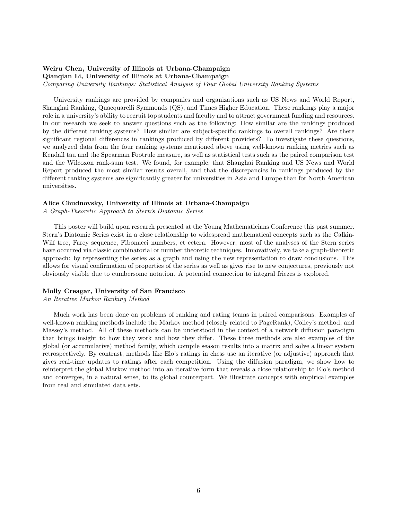## Weiru Chen, University of Illinois at Urbana-Champaign

Qianqian Li, University of Illinois at Urbana-Champaign

Comparing University Rankings: Statistical Analysis of Four Global University Ranking Systems

University rankings are provided by companies and organizations such as US News and World Report, Shanghai Ranking, Quacquarelli Symmonds (QS), and Times Higher Education. These rankings play a major role in a university's ability to recruit top students and faculty and to attract government funding and resources. In our research we seek to answer questions such as the following: How similar are the rankings produced by the different ranking systems? How similar are subject-specific rankings to overall rankings? Are there significant regional differences in rankings produced by different providers? To investigate these questions, we analyzed data from the four ranking systems mentioned above using well-known ranking metrics such as Kendall tau and the Spearman Footrule measure, as well as statistical tests such as the paired comparison test and the Wilcoxon rank-sum test. We found, for example, that Shanghai Ranking and US News and World Report produced the most similar results overall, and that the discrepancies in rankings produced by the different ranking systems are significantly greater for universities in Asia and Europe than for North American universities.

#### Alice Chudnovsky, University of Illinois at Urbana-Champaign

A Graph-Theoretic Approach to Stern's Diatomic Series

This poster will build upon research presented at the Young Mathematicians Conference this past summer. Stern's Diatomic Series exist in a close relationship to widespread mathematical concepts such as the Calkin-Wilf tree, Farey sequence, Fibonacci numbers, et cetera. However, most of the analyses of the Stern series have occurred via classic combinatorial or number theoretic techniques. Innovatively, we take a graph-theoretic approach: by representing the series as a graph and using the new representation to draw conclusions. This allows for visual confirmation of properties of the series as well as gives rise to new conjectures, previously not obviously visible due to cumbersome notation. A potential connection to integral friezes is explored.

## Molly Creagar, University of San Francisco

## An Iterative Markov Ranking Method

Much work has been done on problems of ranking and rating teams in paired comparisons. Examples of well-known ranking methods include the Markov method (closely related to PageRank), Colley's method, and Massey's method. All of these methods can be understood in the context of a network diffusion paradigm that brings insight to how they work and how they differ. These three methods are also examples of the global (or accumulative) method family, which compile season results into a matrix and solve a linear system retrospectively. By contrast, methods like Elo's ratings in chess use an iterative (or adjustive) approach that gives real-time updates to ratings after each competition. Using the diffusion paradigm, we show how to reinterpret the global Markov method into an iterative form that reveals a close relationship to Elo's method and converges, in a natural sense, to its global counterpart. We illustrate concepts with empirical examples from real and simulated data sets.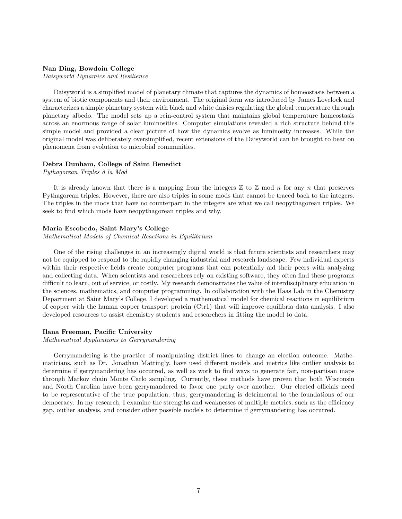## Nan Ding, Bowdoin College

Daisyworld Dynamics and Resilience

Daisyworld is a simplified model of planetary climate that captures the dynamics of homeostasis between a system of biotic components and their environment. The original form was introduced by James Lovelock and characterizes a simple planetary system with black and white daisies regulating the global temperature through planetary albedo. The model sets up a rein-control system that maintains global temperature homeostasis across an enormous range of solar luminosities. Computer simulations revealed a rich structure behind this simple model and provided a clear picture of how the dynamics evolve as luminosity increases. While the original model was deliberately oversimplified, recent extensions of the Daisyworld can be brought to bear on phenomena from evolution to microbial communities.

#### Debra Dunham, College of Saint Benedict

Pythagorean Triples à la Mod

It is already known that there is a mapping from the integers  $\mathbb Z$  to  $\mathbb Z$  mod n for any n that preserves Pythagorean triples. However, there are also triples in some mods that cannot be traced back to the integers. The triples in the mods that have no counterpart in the integers are what we call neopythagorean triples. We seek to find which mods have neopythagorean triples and why.

## Maria Escobedo, Saint Mary's College

Mathematical Models of Chemical Reactions in Equilibrium

One of the rising challenges in an increasingly digital world is that future scientists and researchers may not be equipped to respond to the rapidly changing industrial and research landscape. Few individual experts within their respective fields create computer programs that can potentially aid their peers with analyzing and collecting data. When scientists and researchers rely on existing software, they often find these programs difficult to learn, out of service, or costly. My research demonstrates the value of interdisciplinary education in the sciences, mathematics, and computer programming. In collaboration with the Haas Lab in the Chemistry Department at Saint Mary's College, I developed a mathematical model for chemical reactions in equilibrium of copper with the human copper transport protein (Ctr1) that will improve equilibria data analysis. I also developed resources to assist chemistry students and researchers in fitting the model to data.

## Ilana Freeman, Pacific University

## Mathematical Applications to Gerrymandering

Gerrymandering is the practice of manipulating district lines to change an election outcome. Mathematicians, such as Dr. Jonathan Mattingly, have used different models and metrics like outlier analysis to determine if gerrymandering has occurred, as well as work to find ways to generate fair, non-partisan maps through Markov chain Monte Carlo sampling. Currently, these methods have proven that both Wisconsin and North Carolina have been gerrymandered to favor one party over another. Our elected officials need to be representative of the true population; thus, gerrymandering is detrimental to the foundations of our democracy. In my research, I examine the strengths and weaknesses of multiple metrics, such as the efficiency gap, outlier analysis, and consider other possible models to determine if gerrymandering has occurred.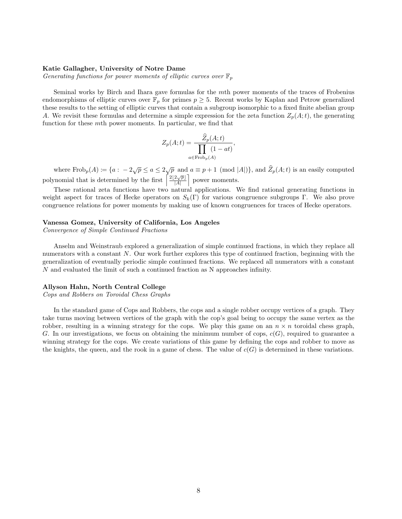### Katie Gallagher, University of Notre Dame

Generating functions for power moments of elliptic curves over  $\mathbb{F}_p$ 

Seminal works by Birch and Ihara gave formulas for the mth power moments of the traces of Frobenius endomorphisms of elliptic curves over  $\mathbb{F}_p$  for primes  $p \geq 5$ . Recent works by Kaplan and Petrow generalized these results to the setting of elliptic curves that contain a subgroup isomorphic to a fixed finite abelian group A. We revisit these formulas and determine a simple expression for the zeta function  $Z_p(A;t)$ , the generating function for these mth power moments. In particular, we find that

$$
Z_p(A;t) = \frac{\widehat{Z}_p(A;t)}{\prod_{a \in \text{Frob}_p(A)} (1 - at)},
$$

where  $\text{Frob}_p(A) := \{a : -2\sqrt{p} \le a \le 2\sqrt{p} \text{ and } a \equiv p+1 \pmod{|A|}\}$ , and  $\widehat{Z}_p(A; t)$  is an easily computed polynomial that is determined by the first  $\frac{1}{2} \frac{2[2\sqrt{p}]}{4}$  $\frac{2\sqrt{p}}{|A|}$  power moments.

These rational zeta functions have two natural applications. We find rational generating functions in weight aspect for traces of Hecke operators on  $S_k(\Gamma)$  for various congruence subgroups Γ. We also prove congruence relations for power moments by making use of known congruences for traces of Hecke operators.

## Vanessa Gomez, University of California, Los Angeles

Convergence of Simple Continued Fractions

Anselm and Weinstraub explored a generalization of simple continued fractions, in which they replace all numerators with a constant N. Our work further explores this type of continued fraction, beginning with the generalization of eventually periodic simple continued fractions. We replaced all numerators with a constant N and evaluated the limit of such a continued fraction as N approaches infinity.

## Allyson Hahn, North Central College

Cops and Robbers on Toroidal Chess Graphs

In the standard game of Cops and Robbers, the cops and a single robber occupy vertices of a graph. They take turns moving between vertices of the graph with the cop's goal being to occupy the same vertex as the robber, resulting in a winning strategy for the cops. We play this game on an  $n \times n$  toroidal chess graph, G. In our investigations, we focus on obtaining the minimum number of cops,  $c(G)$ , required to guarantee a winning strategy for the cops. We create variations of this game by defining the cops and robber to move as the knights, the queen, and the rook in a game of chess. The value of  $c(G)$  is determined in these variations.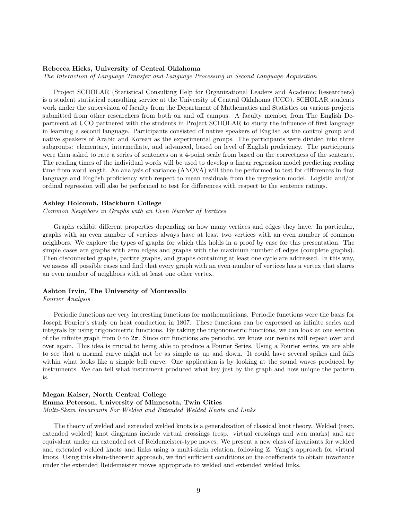## Rebecca Hicks, University of Central Oklahoma

The Interaction of Language Transfer and Language Processing in Second Language Acquisition

Project SCHOLAR (Statistical Consulting Help for Organizational Leaders and Academic Researchers) is a student statistical consulting service at the University of Central Oklahoma (UCO). SCHOLAR students work under the supervision of faculty from the Department of Mathematics and Statistics on various projects submitted from other researchers from both on and off campus. A faculty member from The English Department at UCO partnered with the students in Project SCHOLAR to study the influence of first language in learning a second language. Participants consisted of native speakers of English as the control group and native speakers of Arabic and Korean as the experimental groups. The participants were divided into three subgroups: elementary, intermediate, and advanced, based on level of English proficiency. The participants were then asked to rate a series of sentences on a 4-point scale from based on the correctness of the sentence. The reading times of the individual words will be used to develop a linear regression model predicting reading time from word length. An analysis of variance (ANOVA) will then be performed to test for differences in first language and English proficiency with respect to mean residuals from the regression model. Logistic and/or ordinal regression will also be performed to test for differences with respect to the sentence ratings.

#### Ashley Holcomb, Blackburn College

Common Neighbors in Graphs with an Even Number of Vertices

Graphs exhibit different properties depending on how many vertices and edges they have. In particular, graphs with an even number of vertices always have at least two vertices with an even number of common neighbors. We explore the types of graphs for which this holds in a proof by case for this presentation. The simple cases are graphs with zero edges and graphs with the maximum number of edges (complete graphs). Then disconnected graphs, partite graphs, and graphs containing at least one cycle are addressed. In this way, we assess all possible cases and find that every graph with an even number of vertices has a vertex that shares an even number of neighbors with at least one other vertex.

## Ashton Irvin, The University of Montevallo

## Fourier Analysis

Periodic functions are very interesting functions for mathematicians. Periodic functions were the basis for Joseph Fourier's study on heat conduction in 1807. These functions can be expressed as infinite series and integrals by using trigonometric functions. By taking the trigonometric functions, we can look at one section of the infinite graph from 0 to  $2\pi$ . Since our functions are periodic, we know our results will repeat over and over again. This idea is crucial to being able to produce a Fourier Series. Using a Fourier series, we are able to see that a normal curve might not be as simple as up and down. It could have several spikes and falls within what looks like a simple bell curve. One application is by looking at the sound waves produced by instruments. We can tell what instrument produced what key just by the graph and how unique the pattern is.

## Megan Kaiser, North Central College Emma Peterson, University of Minnesota, Twin Cities Multi-Skein Invariants For Welded and Extended Welded Knots and Links

The theory of welded and extended welded knots is a generalization of classical knot theory. Welded (resp. extended welded) knot diagrams include virtual crossings (resp. virtual crossings and wen marks) and are equivalent under an extended set of Reidemeister-type moves. We present a new class of invariants for welded and extended welded knots and links using a multi-skein relation, following Z. Yang's approach for virtual knots. Using this skein-theoretic approach, we find sufficient conditions on the coefficients to obtain invariance under the extended Reidemeister moves appropriate to welded and extended welded links.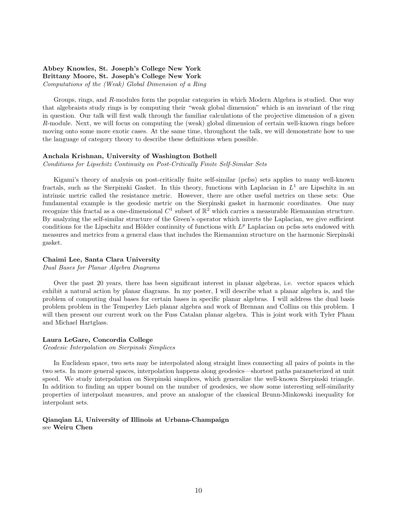## Abbey Knowles, St. Joseph's College New York Brittany Moore, St. Joseph's College New York

Computations of the (Weak) Global Dimension of a Ring

Groups, rings, and R-modules form the popular categories in which Modern Algebra is studied. One way that algebraists study rings is by computing their "weak global dimension" which is an invariant of the ring in question. Our talk will first walk through the familiar calculations of the projective dimension of a given R-module. Next, we will focus on computing the (weak) global dimension of certain well-known rings before moving onto some more exotic cases. At the same time, throughout the talk, we will demonstrate how to use the language of category theory to describe these definitions when possible.

## Anchala Krishnan, University of Washington Bothell

Conditions for Lipschitz Continuity on Post-Critically Finite Self-Similar Sets

Kigami's theory of analysis on post-critically finite self-similar (pcfss) sets applies to many well-known fractals, such as the Sierpinski Gasket. In this theory, functions with Laplacian in  $L^1$  are Lipschitz in an intrinsic metric called the resistance metric. However, there are other useful metrics on these sets: One fundamental example is the geodesic metric on the Sierpinski gasket in harmonic coordinates. One may recognize this fractal as a one-dimensional  $C^1$  subset of  $\mathbb{R}^2$  which carries a measurable Riemannian structure. By analyzing the self-similar structure of the Green's operator which inverts the Laplacian, we give sufficient conditions for the Lipschitz and Hölder continuity of functions with  $L^p$  Laplacian on pcfss sets endowed with measures and metrics from a general class that includes the Riemannian structure on the harmonic Sierpinski gasket.

## Chaimi Lee, Santa Clara University

Dual Bases for Planar Algebra Diagrams

Over the past 20 years, there has been significant interest in planar algebras, i.e. vector spaces which exhibit a natural action by planar diagrams. In my poster, I will describe what a planar algebra is, and the problem of computing dual bases for certain bases in specific planar algebras. I will address the dual basis problem problem in the Temperley Lieb planar algebra and work of Brennan and Collins on this problem. I will then present our current work on the Fuss Catalan planar algebra. This is joint work with Tyler Pham and Michael Hartglass.

#### Laura LeGare, Concordia College

Geodesic Interpolation on Sierpinski Simplices

In Euclidean space, two sets may be interpolated along straight lines connecting all pairs of points in the two sets. In more general spaces, interpolation happens along geodesics—shortest paths parameterized at unit speed. We study interpolation on Sierpinski simplices, which generalize the well-known Sierpinski triangle. In addition to finding an upper bound on the number of geodesics, we show some interesting self-similarity properties of interpolant measures, and prove an analogue of the classical Brunn-Minkowski inequality for interpolant sets.

## Qianqian Li, University of Illinois at Urbana-Champaign see Weiru Chen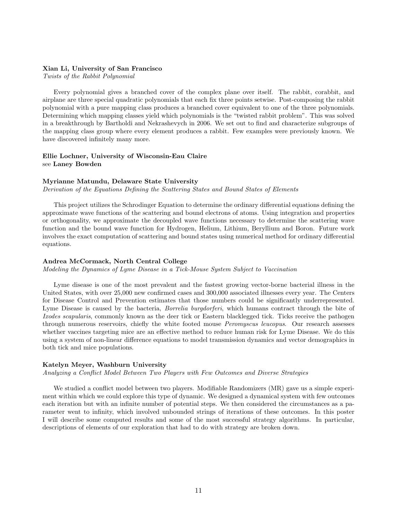## Xian Li, University of San Francisco

Twists of the Rabbit Polynomial

Every polynomial gives a branched cover of the complex plane over itself. The rabbit, corabbit, and airplane are three special quadratic polynomials that each fix three points setwise. Post-composing the rabbit polynomial with a pure mapping class produces a branched cover equivalent to one of the three polynomials. Determining which mapping classes yield which polynomials is the "twisted rabbit problem". This was solved in a breakthrough by Bartholdi and Nekrashevych in 2006. We set out to find and characterize subgroups of the mapping class group where every element produces a rabbit. Few examples were previously known. We have discovered infinitely many more.

## Ellie Lochner, University of Wisconsin-Eau Claire see Laney Bowden

## Myrianne Matundu, Delaware State University

Derivation of the Equations Defining the Scattering States and Bound States of Elements

This project utilizes the Schrodinger Equation to determine the ordinary differential equations defining the approximate wave functions of the scattering and bound electrons of atoms. Using integration and properties or orthogonality, we approximate the decoupled wave functions necessary to determine the scattering wave function and the bound wave function for Hydrogen, Helium, Lithium, Beryllium and Boron. Future work involves the exact computation of scattering and bound states using numerical method for ordinary differential equations.

## Andrea McCormack, North Central College

Modeling the Dynamics of Lyme Disease in a Tick-Mouse System Subject to Vaccination

Lyme disease is one of the most prevalent and the fastest growing vector-borne bacterial illness in the United States, with over 25,000 new confirmed cases and 300,000 associated illnesses every year. The Centers for Disease Control and Prevention estimates that those numbers could be significantly underrepresented. Lyme Disease is caused by the bacteria, *Borrelia burgdorferi*, which humans contract through the bite of Ixodes scapularis, commonly known as the deer tick or Eastern blacklegged tick. Ticks receive the pathogen through numerous reservoirs, chiefly the white footed mouse *Peromyscus leucopus*. Our research assesses whether vaccines targeting mice are an effective method to reduce human risk for Lyme Disease. We do this using a system of non-linear difference equations to model transmission dynamics and vector demographics in both tick and mice populations.

## Katelyn Meyer, Washburn University

Analyzing a Conflict Model Between Two Players with Few Outcomes and Diverse Strategies

We studied a conflict model between two players. Modifiable Randomizers (MR) gave us a simple experiment within which we could explore this type of dynamic. We designed a dynamical system with few outcomes each iteration but with an infinite number of potential steps. We then considered the circumstances as a parameter went to infinity, which involved unbounded strings of iterations of these outcomes. In this poster I will describe some computed results and some of the most successful strategy algorithms. In particular, descriptions of elements of our exploration that had to do with strategy are broken down.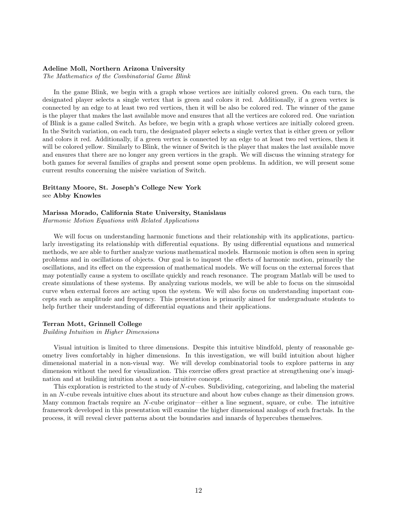## Adeline Moll, Northern Arizona University

The Mathematics of the Combinatorial Game Blink

In the game Blink, we begin with a graph whose vertices are initially colored green. On each turn, the designated player selects a single vertex that is green and colors it red. Additionally, if a green vertex is connected by an edge to at least two red vertices, then it will be also be colored red. The winner of the game is the player that makes the last available move and ensures that all the vertices are colored red. One variation of Blink is a game called Switch. As before, we begin with a graph whose vertices are initially colored green. In the Switch variation, on each turn, the designated player selects a single vertex that is either green or yellow and colors it red. Additionally, if a green vertex is connected by an edge to at least two red vertices, then it will be colored yellow. Similarly to Blink, the winner of Switch is the player that makes the last available move and ensures that there are no longer any green vertices in the graph. We will discuss the winning strategy for both games for several families of graphs and present some open problems. In addition, we will present some current results concerning the misère variation of Switch.

## Brittany Moore, St. Joseph's College New York see Abby Knowles

## Marissa Morado, California State University, Stanislaus

Harmonic Motion Equations with Related Applications

We will focus on understanding harmonic functions and their relationship with its applications, particularly investigating its relationship with differential equations. By using differential equations and numerical methods, we are able to further analyze various mathematical models. Harmonic motion is often seen in spring problems and in oscillations of objects. Our goal is to inquest the effects of harmonic motion, primarily the oscillations, and its effect on the expression of mathematical models. We will focus on the external forces that may potentially cause a system to oscillate quickly and reach resonance. The program Matlab will be used to create simulations of these systems. By analyzing various models, we will be able to focus on the sinusoidal curve when external forces are acting upon the system. We will also focus on understanding important concepts such as amplitude and frequency. This presentation is primarily aimed for undergraduate students to help further their understanding of differential equations and their applications.

## Terran Mott, Grinnell College

Building Intuition in Higher Dimensions

Visual intuition is limited to three dimensions. Despite this intuitive blindfold, plenty of reasonable geometry lives comfortably in higher dimensions. In this investigation, we will build intuition about higher dimensional material in a non-visual way. We will develop combinatorial tools to explore patterns in any dimension without the need for visualization. This exercise offers great practice at strengthening one's imagination and at building intuition about a non-intuitive concept.

This exploration is restricted to the study of N-cubes. Subdividing, categorizing, and labeling the material in an N-cube reveals intuitive clues about its structure and about how cubes change as their dimension grows. Many common fractals require an N-cube originator—either a line segment, square, or cube. The intuitive framework developed in this presentation will examine the higher dimensional analogs of such fractals. In the process, it will reveal clever patterns about the boundaries and innards of hypercubes themselves.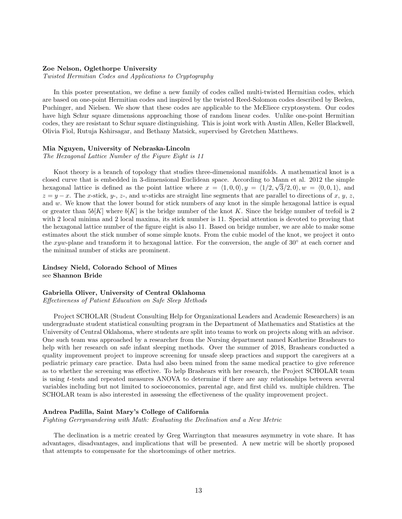## Zoe Nelson, Oglethorpe University

Twisted Hermitian Codes and Applications to Cryptography

In this poster presentation, we define a new family of codes called multi-twisted Hermitian codes, which are based on one-point Hermitian codes and inspired by the twisted Reed-Solomon codes described by Beelen, Puchinger, and Nielsen. We show that these codes are applicable to the McEliece cryptosystem. Our codes have high Schur square dimensions approaching those of random linear codes. Unlike one-point Hermitian codes, they are resistant to Schur square distinguishing. This is joint work with Austin Allen, Keller Blackwell, Olivia Fiol, Rutuja Kshirsagar, and Bethany Matsick, supervised by Gretchen Matthews.

#### Mia Nguyen, University of Nebraska-Lincoln

The Hexagonal Lattice Number of the Figure Eight is 11

Knot theory is a branch of topology that studies three-dimensional manifolds. A mathematical knot is a closed curve that is embedded in 3-dimensional Euclidean space. According to Mann et al. 2012 the simple hexagonal lattice is defined as the point lattice where  $x = (1, 0, 0), y = (1/2, \sqrt{3}/2, 0), w = (0, 0, 1)$ , and  $z = y - x$ . The x-stick, y-, z-, and w-sticks are straight line segments that are parallel to directions of x, y, z, and w. We know that the lower bound for stick numbers of any knot in the simple hexagonal lattice is equal or greater than  $5b[K]$  where  $b[K]$  is the bridge number of the knot K. Since the bridge number of trefoil is 2 with 2 local minima and 2 local maxima, its stick number is 11. Special attention is devoted to proving that the hexagonal lattice number of the figure eight is also 11. Based on bridge number, we are able to make some estimates about the stick number of some simple knots. From the cubic model of the knot, we project it onto the xyw-plane and transform it to hexagonal lattice. For the conversion, the angle of 30° at each corner and the minimal number of sticks are prominent.

Lindsey Nield, Colorado School of Mines see Shannon Bride

## Gabriella Oliver, University of Central Oklahoma

Effectiveness of Patient Education on Safe Sleep Methods

Project SCHOLAR (Student Consulting Help for Organizational Leaders and Academic Researchers) is an undergraduate student statistical consulting program in the Department of Mathematics and Statistics at the University of Central Oklahoma, where students are split into teams to work on projects along with an advisor. One such team was approached by a researcher from the Nursing department named Katherine Brashears to help with her research on safe infant sleeping methods. Over the summer of 2018, Brashears conducted a quality improvement project to improve screening for unsafe sleep practices and support the caregivers at a pediatric primary care practice. Data had also been mined from the same medical practice to give reference as to whether the screening was effective. To help Brashears with her research, the Project SCHOLAR team is using t-tests and repeated measures ANOVA to determine if there are any relationships between several variables including but not limited to socioeconomics, parental age, and first child vs. multiple children. The SCHOLAR team is also interested in assessing the effectiveness of the quality improvement project.

## Andrea Padilla, Saint Mary's College of California

Fighting Gerrymandering with Math: Evaluating the Declination and a New Metric

The declination is a metric created by Greg Warrington that measures asymmetry in vote share. It has advantages, disadvantages, and implications that will be presented. A new metric will be shortly proposed that attempts to compensate for the shortcomings of other metrics.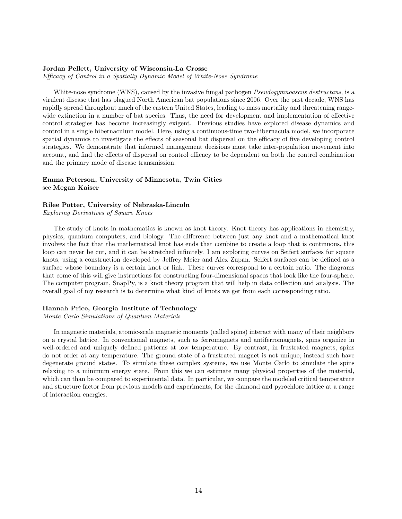## Jordan Pellett, University of Wisconsin-La Crosse

Efficacy of Control in a Spatially Dynamic Model of White-Nose Syndrome

White-nose syndrome (WNS), caused by the invasive fungal pathogen *Pseudogymnoascus destructans*, is a virulent disease that has plagued North American bat populations since 2006. Over the past decade, WNS has rapidly spread throughout much of the eastern United States, leading to mass mortality and threatening rangewide extinction in a number of bat species. Thus, the need for development and implementation of effective control strategies has become increasingly exigent. Previous studies have explored disease dynamics and control in a single hibernaculum model. Here, using a continuous-time two-hibernacula model, we incorporate spatial dynamics to investigate the effects of seasonal bat dispersal on the efficacy of five developing control strategies. We demonstrate that informed management decisions must take inter-population movement into account, and find the effects of dispersal on control efficacy to be dependent on both the control combination and the primary mode of disease transmission.

## Emma Peterson, University of Minnesota, Twin Cities see Megan Kaiser

## Rilee Potter, University of Nebraska-Lincoln

Exploring Derivatives of Square Knots

The study of knots in mathematics is known as knot theory. Knot theory has applications in chemistry, physics, quantum computers, and biology. The difference between just any knot and a mathematical knot involves the fact that the mathematical knot has ends that combine to create a loop that is continuous, this loop can never be cut, and it can be stretched infinitely. I am exploring curves on Seifert surfaces for square knots, using a construction developed by Jeffrey Meier and Alex Zupan. Seifert surfaces can be defined as a surface whose boundary is a certain knot or link. These curves correspond to a certain ratio. The diagrams that come of this will give instructions for constructing four-dimensional spaces that look like the four-sphere. The computer program, SnapPy, is a knot theory program that will help in data collection and analysis. The overall goal of my research is to determine what kind of knots we get from each corresponding ratio.

## Hannah Price, Georgia Institute of Technology

Monte Carlo Simulations of Quantum Materials

In magnetic materials, atomic-scale magnetic moments (called spins) interact with many of their neighbors on a crystal lattice. In conventional magnets, such as ferromagnets and antiferromagnets, spins organize in well-ordered and uniquely defined patterns at low temperature. By contrast, in frustrated magnets, spins do not order at any temperature. The ground state of a frustrated magnet is not unique; instead such have degenerate ground states. To simulate these complex systems, we use Monte Carlo to simulate the spins relaxing to a minimum energy state. From this we can estimate many physical properties of the material, which can than be compared to experimental data. In particular, we compare the modeled critical temperature and structure factor from previous models and experiments, for the diamond and pyrochlore lattice at a range of interaction energies.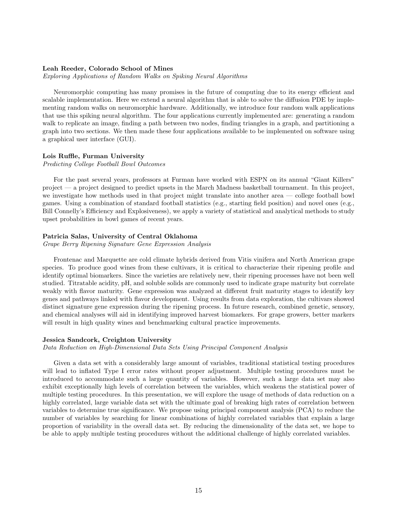## Leah Reeder, Colorado School of Mines

Exploring Applications of Random Walks on Spiking Neural Algorithms

Neuromorphic computing has many promises in the future of computing due to its energy efficient and scalable implementation. Here we extend a neural algorithm that is able to solve the diffusion PDE by implementing random walks on neuromorphic hardware. Additionally, we introduce four random walk applications that use this spiking neural algorithm. The four applications currently implemented are: generating a random walk to replicate an image, finding a path between two nodes, finding triangles in a graph, and partitioning a graph into two sections. We then made these four applications available to be implemented on software using a graphical user interface (GUI).

## Lois Ruffle, Furman University

Predicting College Football Bowl Outcomes

For the past several years, professors at Furman have worked with ESPN on its annual "Giant Killers" project — a project designed to predict upsets in the March Madness basketball tournament. In this project, we investigate how methods used in that project might translate into another area — college football bowl games. Using a combination of standard football statistics (e.g., starting field position) and novel ones (e.g., Bill Connelly's Efficiency and Explosiveness), we apply a variety of statistical and analytical methods to study upset probabilities in bowl games of recent years.

## Patricia Salas, University of Central Oklahoma

Grape Berry Ripening Signature Gene Expression Analysis

Frontenac and Marquette are cold climate hybrids derived from Vitis vinifera and North American grape species. To produce good wines from these cultivars, it is critical to characterize their ripening profile and identify optimal biomarkers. Since the varieties are relatively new, their ripening processes have not been well studied. Titratable acidity, pH, and soluble solids are commonly used to indicate grape maturity but correlate weakly with flavor maturity. Gene expression was analyzed at different fruit maturity stages to identify key genes and pathways linked with flavor development. Using results from data exploration, the cultivars showed distinct signature gene expression during the ripening process. In future research, combined genetic, sensory, and chemical analyses will aid in identifying improved harvest biomarkers. For grape growers, better markers will result in high quality wines and benchmarking cultural practice improvements.

#### Jessica Sandcork, Creighton University

Data Reduction on High-Dimensional Data Sets Using Principal Component Analysis

Given a data set with a considerably large amount of variables, traditional statistical testing procedures will lead to inflated Type I error rates without proper adjustment. Multiple testing procedures must be introduced to accommodate such a large quantity of variables. However, such a large data set may also exhibit exceptionally high levels of correlation between the variables, which weakens the statistical power of multiple testing procedures. In this presentation, we will explore the usage of methods of data reduction on a highly correlated, large variable data set with the ultimate goal of breaking high rates of correlation between variables to determine true significance. We propose using principal component analysis (PCA) to reduce the number of variables by searching for linear combinations of highly correlated variables that explain a large proportion of variability in the overall data set. By reducing the dimensionality of the data set, we hope to be able to apply multiple testing procedures without the additional challenge of highly correlated variables.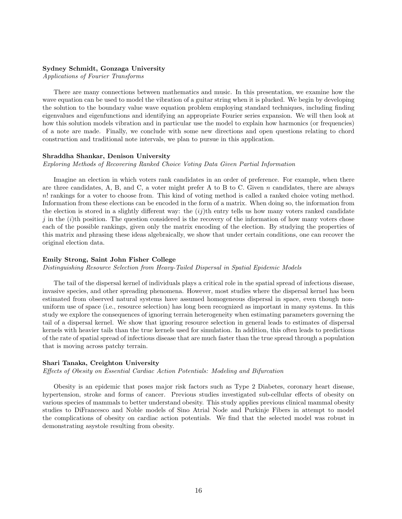## Sydney Schmidt, Gonzaga University

Applications of Fourier Transforms

There are many connections between mathematics and music. In this presentation, we examine how the wave equation can be used to model the vibration of a guitar string when it is plucked. We begin by developing the solution to the boundary value wave equation problem employing standard techniques, including finding eigenvalues and eigenfunctions and identifying an appropriate Fourier series expansion. We will then look at how this solution models vibration and in particular use the model to explain how harmonics (or frequencies) of a note are made. Finally, we conclude with some new directions and open questions relating to chord construction and traditional note intervals, we plan to pursue in this application.

## Shraddha Shankar, Denison University

Exploring Methods of Recovering Ranked Choice Voting Data Given Partial Information

Imagine an election in which voters rank candidates in an order of preference. For example, when there are three candidates, A, B, and C, a voter might prefer A to B to C. Given  $n$  candidates, there are always n! rankings for a voter to choose from. This kind of voting method is called a ranked choice voting method. Information from these elections can be encoded in the form of a matrix. When doing so, the information from the election is stored in a slightly different way: the  $(ij)$ th entry tells us how many voters ranked candidate j in the  $(i)$ th position. The question considered is the recovery of the information of how many voters chose each of the possible rankings, given only the matrix encoding of the election. By studying the properties of this matrix and phrasing these ideas algebraically, we show that under certain conditions, one can recover the original election data.

## Emily Strong, Saint John Fisher College

Distinguishing Resource Selection from Heavy-Tailed Dispersal in Spatial Epidemic Models

The tail of the dispersal kernel of individuals plays a critical role in the spatial spread of infectious disease, invasive species, and other spreading phenomena. However, most studies where the dispersal kernel has been estimated from observed natural systems have assumed homogeneous dispersal in space, even though nonuniform use of space (i.e., resource selection) has long been recognized as important in many systems. In this study we explore the consequences of ignoring terrain heterogeneity when estimating parameters governing the tail of a dispersal kernel. We show that ignoring resource selection in general leads to estimates of dispersal kernels with heavier tails than the true kernels used for simulation. In addition, this often leads to predictions of the rate of spatial spread of infectious disease that are much faster than the true spread through a population that is moving across patchy terrain.

## Shari Tanaka, Creighton University

Effects of Obesity on Essential Cardiac Action Potentials: Modeling and Bifurcation

Obesity is an epidemic that poses major risk factors such as Type 2 Diabetes, coronary heart disease, hypertension, stroke and forms of cancer. Previous studies investigated sub-cellular effects of obesity on various species of mammals to better understand obesity. This study applies previous clinical mammal obesity studies to DiFrancesco and Noble models of Sino Atrial Node and Purkinje Fibers in attempt to model the complications of obesity on cardiac action potentials. We find that the selected model was robust in demonstrating asystole resulting from obesity.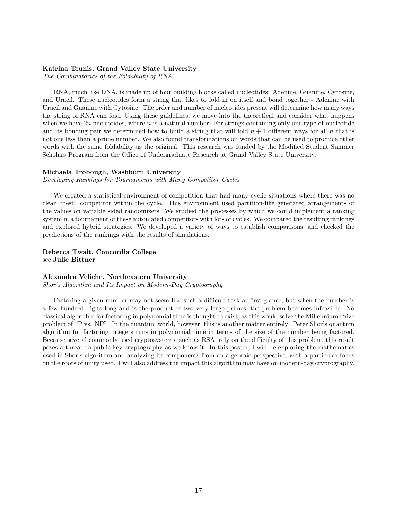## Katrina Teunis, Grand Valley State University

The Combinatorics of the Foldability of RNA

RNA, much like DNA, is made up of four building blocks called nucleotides: Adenine, Guanine, Cytosine, and Uracil. These nucleotides form a string that likes to fold in on itself and bond together - Adenine with Uracil and Guanine with Cytosine. The order and number of nucleotides present will determine how many ways the string of RNA can fold. Using these guidelines, we move into the theoretical and consider what happens when we have  $2n$  nucleotides, where n is a natural number. For strings containing only one type of nucleotide and its bonding pair we determined how to build a string that will fold  $n + 1$  different ways for all n that is not one less than a prime number. We also found transformations on words that can be used to produce other words with the same foldability as the original. This research was funded by the Modified Student Summer Scholars Program from the Office of Undergraduate Research at Grand Valley State University.

## Michaela Trobough, Washburn University

Developing Rankings for Tournaments with Many Competitor Cycles

We created a statistical environment of competition that had many cyclic situations where there was no clear "best" competitor within the cycle. This environment used partition-like generated arrangements of the values on variable sided randomizers. We studied the processes by which we could implement a ranking system in a tournament of these automated competitors with lots of cycles. We compared the resulting rankings and explored hybrid strategies. We developed a variety of ways to establish comparisons, and checked the predictions of the rankings with the results of simulations.

## Rebecca Twait, Concordia College see Julie Bittner

### Alexandra Veliche, Northeastern University

Shor's Algorithm and Its Impact on Modern-Day Cryptography

Factoring a given number may not seem like such a difficult task at first glance, but when the number is a few hundred digits long and is the product of two very large primes, the problem becomes infeasible. No classical algorithm for factoring in polynomial time is thought to exist, as this would solve the Millennium Prize problem of "P vs. NP". In the quantum world, however, this is another matter entirely: Peter Shor's quantum algorithm for factoring integers runs in polynomial time in terms of the size of the number being factored. Because several commonly used cryptosystems, such as RSA, rely on the difficulty of this problem, this result poses a threat to public-key cryptography as we know it. In this poster, I will be exploring the mathematics used in Shor's algorithm and analyzing its components from an algebraic perspective, with a particular focus on the roots of unity used. I will also address the impact this algorithm may have on modern-day cryptography.